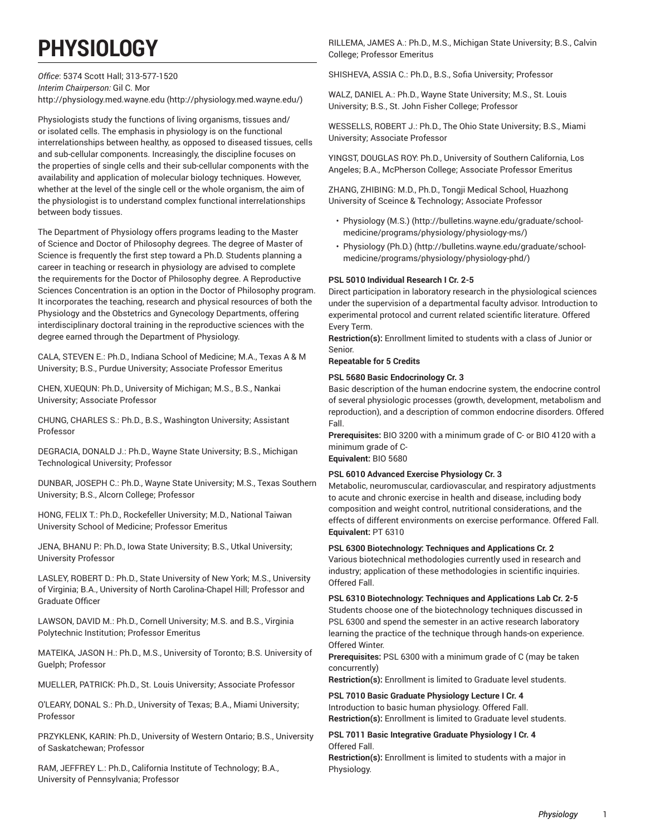# **PHYSIOLOGY**

*Office*: 5374 Scott Hall; 313-577-1520 *Interim Chairperson:* Gil C. Mor [http://physiology.med.wayne.edu](http://physiology.med.wayne.edu/) (<http://physiology.med.wayne.edu/>)

Physiologists study the functions of living organisms, tissues and/ or isolated cells. The emphasis in physiology is on the functional interrelationships between healthy, as opposed to diseased tissues, cells and sub-cellular components. Increasingly, the discipline focuses on the properties of single cells and their sub-cellular components with the availability and application of molecular biology techniques. However, whether at the level of the single cell or the whole organism, the aim of the physiologist is to understand complex functional interrelationships between body tissues.

The Department of Physiology offers programs leading to the Master of Science and Doctor of Philosophy degrees. The degree of Master of Science is frequently the first step toward a Ph.D. Students planning a career in teaching or research in physiology are advised to complete the requirements for the Doctor of Philosophy degree. A Reproductive Sciences Concentration is an option in the Doctor of Philosophy program. It incorporates the teaching, research and physical resources of both the Physiology and the Obstetrics and Gynecology Departments, offering interdisciplinary doctoral training in the reproductive sciences with the degree earned through the Department of Physiology.

CALA, STEVEN E.: Ph.D., Indiana School of Medicine; M.A., Texas A & M University; B.S., Purdue University; Associate Professor Emeritus

CHEN, XUEQUN: Ph.D., University of Michigan; M.S., B.S., Nankai University; Associate Professor

CHUNG, CHARLES S.: Ph.D., B.S., Washington University; Assistant Professor

DEGRACIA, DONALD J.: Ph.D., Wayne State University; B.S., Michigan Technological University; Professor

DUNBAR, JOSEPH C.: Ph.D., Wayne State University; M.S., Texas Southern University; B.S., Alcorn College; Professor

HONG, FELIX T.: Ph.D., Rockefeller University; M.D., National Taiwan University School of Medicine; Professor Emeritus

JENA, BHANU P.: Ph.D., Iowa State University; B.S., Utkal University; University Professor

LASLEY, ROBERT D.: Ph.D., State University of New York; M.S., University of Virginia; B.A., University of North Carolina-Chapel Hill; Professor and Graduate Officer

LAWSON, DAVID M.: Ph.D., Cornell University; M.S. and B.S., Virginia Polytechnic Institution; Professor Emeritus

MATEIKA, JASON H.: Ph.D., M.S., University of Toronto; B.S. University of Guelph; Professor

MUELLER, PATRICK: Ph.D., St. Louis University; Associate Professor

O'LEARY, DONAL S.: Ph.D., University of Texas; B.A., Miami University; Professor

PRZYKLENK, KARIN: Ph.D., University of Western Ontario; B.S., University of Saskatchewan; Professor

RAM, JEFFREY L.: Ph.D., California Institute of Technology; B.A., University of Pennsylvania; Professor

RILLEMA, JAMES A.: Ph.D., M.S., Michigan State University; B.S., Calvin College; Professor Emeritus

SHISHEVA, ASSIA C.: Ph.D., B.S., Sofia University; Professor

WALZ, DANIEL A.: Ph.D., Wayne State University; M.S., St. Louis University; B.S., St. John Fisher College; Professor

WESSELLS, ROBERT J.: Ph.D., The Ohio State University; B.S., Miami University; Associate Professor

YINGST, DOUGLAS ROY: Ph.D., University of Southern California, Los Angeles; B.A., McPherson College; Associate Professor Emeritus

ZHANG, ZHIBING: M.D., Ph.D., Tongji Medical School, Huazhong University of Sceince & Technology; Associate Professor

- [Physiology \(M.S.\) \(http://bulletins.wayne.edu/graduate/school](http://bulletins.wayne.edu/graduate/school-medicine/programs/physiology/physiology-ms/)[medicine/programs/physiology/physiology-ms/](http://bulletins.wayne.edu/graduate/school-medicine/programs/physiology/physiology-ms/))
- [Physiology](http://bulletins.wayne.edu/graduate/school-medicine/programs/physiology/physiology-phd/) (Ph.D.) ([http://bulletins.wayne.edu/graduate/school](http://bulletins.wayne.edu/graduate/school-medicine/programs/physiology/physiology-phd/)[medicine/programs/physiology/physiology-phd/\)](http://bulletins.wayne.edu/graduate/school-medicine/programs/physiology/physiology-phd/)

#### **PSL 5010 Individual Research I Cr. 2-5**

Direct participation in laboratory research in the physiological sciences under the supervision of a departmental faculty advisor. Introduction to experimental protocol and current related scientific literature. Offered Every Term.

**Restriction(s):** Enrollment limited to students with a class of Junior or Senior.

#### **Repeatable for 5 Credits**

#### **PSL 5680 Basic Endocrinology Cr. 3**

Basic description of the human endocrine system, the endocrine control of several physiologic processes (growth, development, metabolism and reproduction), and a description of common endocrine disorders. Offered Fall.

**Prerequisites:** BIO 3200 with a minimum grade of C- or BIO 4120 with a minimum grade of C-

**Equivalent:** BIO 5680

#### **PSL 6010 Advanced Exercise Physiology Cr. 3**

Metabolic, neuromuscular, cardiovascular, and respiratory adjustments to acute and chronic exercise in health and disease, including body composition and weight control, nutritional considerations, and the effects of different environments on exercise performance. Offered Fall. **Equivalent:** PT 6310

**PSL 6300 Biotechnology: Techniques and Applications Cr. 2**

Various biotechnical methodologies currently used in research and industry; application of these methodologies in scientific inquiries. Offered Fall.

**PSL 6310 Biotechnology: Techniques and Applications Lab Cr. 2-5**

Students choose one of the biotechnology techniques discussed in PSL 6300 and spend the semester in an active research laboratory learning the practice of the technique through hands-on experience. Offered Winter.

**Prerequisites:** PSL 6300 with a minimum grade of C (may be taken concurrently)

**Restriction(s):** Enrollment is limited to Graduate level students.

**PSL 7010 Basic Graduate Physiology Lecture I Cr. 4** Introduction to basic human physiology. Offered Fall. **Restriction(s):** Enrollment is limited to Graduate level students.

#### **PSL 7011 Basic Integrative Graduate Physiology I Cr. 4** Offered Fall.

**Restriction(s):** Enrollment is limited to students with a major in Physiology.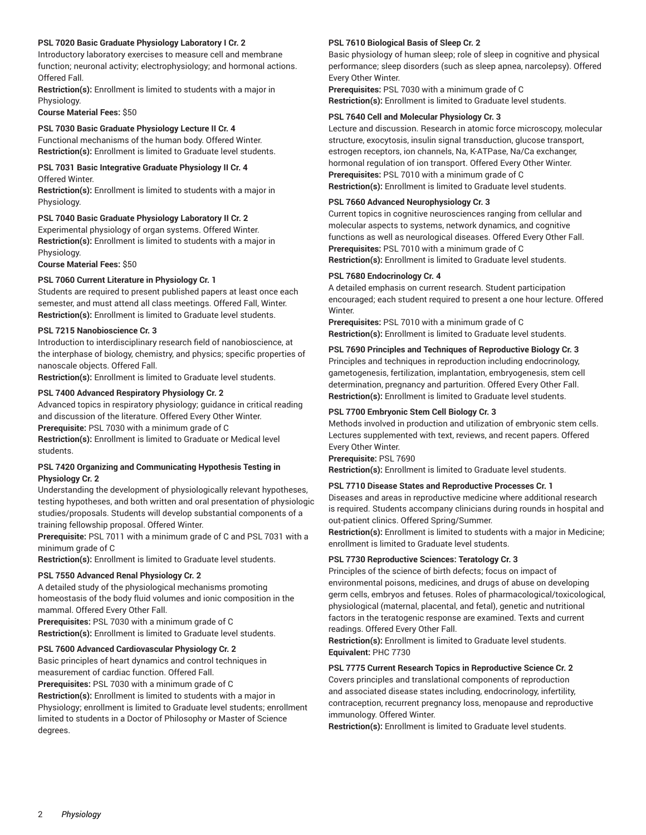#### **PSL 7020 Basic Graduate Physiology Laboratory I Cr. 2**

Introductory laboratory exercises to measure cell and membrane function; neuronal activity; electrophysiology; and hormonal actions. Offered Fall.

**Restriction(s):** Enrollment is limited to students with a major in Physiology.

**Course Material Fees:** \$50

## **PSL 7030 Basic Graduate Physiology Lecture II Cr. 4**

Functional mechanisms of the human body. Offered Winter. **Restriction(s):** Enrollment is limited to Graduate level students.

#### **PSL 7031 Basic Integrative Graduate Physiology II Cr. 4** Offered Winter.

**Restriction(s):** Enrollment is limited to students with a major in Physiology.

#### **PSL 7040 Basic Graduate Physiology Laboratory II Cr. 2**

Experimental physiology of organ systems. Offered Winter. **Restriction(s):** Enrollment is limited to students with a major in Physiology.

**Course Material Fees:** \$50

#### **PSL 7060 Current Literature in Physiology Cr. 1**

Students are required to present published papers at least once each semester, and must attend all class meetings. Offered Fall, Winter. **Restriction(s):** Enrollment is limited to Graduate level students.

#### **PSL 7215 Nanobioscience Cr. 3**

Introduction to interdisciplinary research field of nanobioscience, at the interphase of biology, chemistry, and physics; specific properties of nanoscale objects. Offered Fall.

**Restriction(s):** Enrollment is limited to Graduate level students.

#### **PSL 7400 Advanced Respiratory Physiology Cr. 2**

Advanced topics in respiratory physiology; guidance in critical reading and discussion of the literature. Offered Every Other Winter.

**Prerequisite:** PSL 7030 with a minimum grade of C

**Restriction(s):** Enrollment is limited to Graduate or Medical level students.

#### **PSL 7420 Organizing and Communicating Hypothesis Testing in Physiology Cr. 2**

Understanding the development of physiologically relevant hypotheses, testing hypotheses, and both written and oral presentation of physiologic studies/proposals. Students will develop substantial components of a training fellowship proposal. Offered Winter.

**Prerequisite:** PSL 7011 with a minimum grade of C and PSL 7031 with a minimum grade of C

**Restriction(s):** Enrollment is limited to Graduate level students.

#### **PSL 7550 Advanced Renal Physiology Cr. 2**

A detailed study of the physiological mechanisms promoting homeostasis of the body fluid volumes and ionic composition in the mammal. Offered Every Other Fall.

**Prerequisites:** PSL 7030 with a minimum grade of C **Restriction(s):** Enrollment is limited to Graduate level students.

#### **PSL 7600 Advanced Cardiovascular Physiology Cr. 2**

Basic principles of heart dynamics and control techniques in measurement of cardiac function. Offered Fall.

**Prerequisites:** PSL 7030 with a minimum grade of C

**Restriction(s):** Enrollment is limited to students with a major in Physiology; enrollment is limited to Graduate level students; enrollment limited to students in a Doctor of Philosophy or Master of Science degrees.

#### **PSL 7610 Biological Basis of Sleep Cr. 2**

Basic physiology of human sleep; role of sleep in cognitive and physical performance; sleep disorders (such as sleep apnea, narcolepsy). Offered Every Other Winter.

**Prerequisites:** PSL 7030 with a minimum grade of C **Restriction(s):** Enrollment is limited to Graduate level students.

## **PSL 7640 Cell and Molecular Physiology Cr. 3**

Lecture and discussion. Research in atomic force microscopy, molecular structure, exocytosis, insulin signal transduction, glucose transport, estrogen receptors, ion channels, Na, K-ATPase, Na/Ca exchanger, hormonal regulation of ion transport. Offered Every Other Winter. **Prerequisites:** PSL 7010 with a minimum grade of C **Restriction(s):** Enrollment is limited to Graduate level students.

#### **PSL 7660 Advanced Neurophysiology Cr. 3**

Current topics in cognitive neurosciences ranging from cellular and molecular aspects to systems, network dynamics, and cognitive functions as well as neurological diseases. Offered Every Other Fall. **Prerequisites:** PSL 7010 with a minimum grade of C **Restriction(s):** Enrollment is limited to Graduate level students.

#### **PSL 7680 Endocrinology Cr. 4**

A detailed emphasis on current research. Student participation encouraged; each student required to present a one hour lecture. Offered Winter.

**Prerequisites:** PSL 7010 with a minimum grade of C **Restriction(s):** Enrollment is limited to Graduate level students.

#### **PSL 7690 Principles and Techniques of Reproductive Biology Cr. 3**

Principles and techniques in reproduction including endocrinology, gametogenesis, fertilization, implantation, embryogenesis, stem cell determination, pregnancy and parturition. Offered Every Other Fall. **Restriction(s):** Enrollment is limited to Graduate level students.

#### **PSL 7700 Embryonic Stem Cell Biology Cr. 3**

Methods involved in production and utilization of embryonic stem cells. Lectures supplemented with text, reviews, and recent papers. Offered Every Other Winter.

**Prerequisite:** PSL 7690

**Restriction(s):** Enrollment is limited to Graduate level students.

#### **PSL 7710 Disease States and Reproductive Processes Cr. 1**

Diseases and areas in reproductive medicine where additional research is required. Students accompany clinicians during rounds in hospital and out-patient clinics. Offered Spring/Summer.

**Restriction(s):** Enrollment is limited to students with a major in Medicine; enrollment is limited to Graduate level students.

#### **PSL 7730 Reproductive Sciences: Teratology Cr. 3**

Principles of the science of birth defects; focus on impact of environmental poisons, medicines, and drugs of abuse on developing germ cells, embryos and fetuses. Roles of pharmacological/toxicological, physiological (maternal, placental, and fetal), genetic and nutritional factors in the teratogenic response are examined. Texts and current readings. Offered Every Other Fall.

**Restriction(s):** Enrollment is limited to Graduate level students. **Equivalent:** PHC 7730

#### **PSL 7775 Current Research Topics in Reproductive Science Cr. 2**

Covers principles and translational components of reproduction and associated disease states including, endocrinology, infertility, contraception, recurrent pregnancy loss, menopause and reproductive immunology. Offered Winter.

**Restriction(s):** Enrollment is limited to Graduate level students.